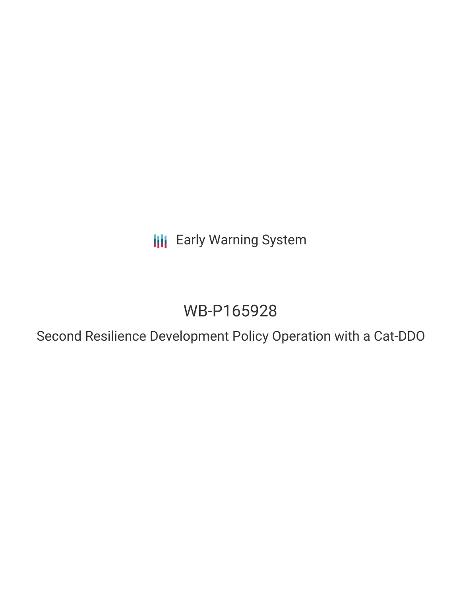**III** Early Warning System

# WB-P165928

Second Resilience Development Policy Operation with a Cat-DDO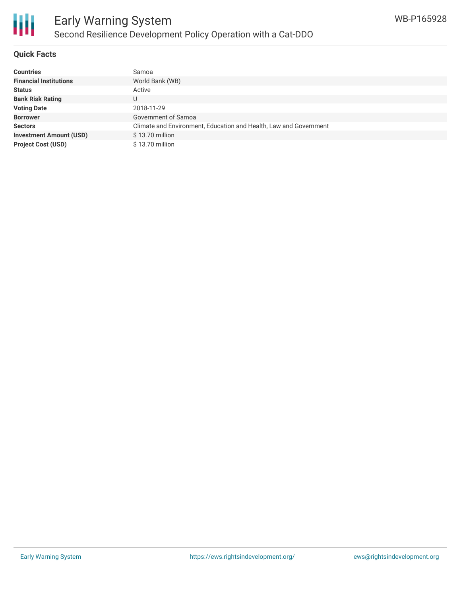

#### **Quick Facts**

| <b>Countries</b>               | Samoa                                                             |
|--------------------------------|-------------------------------------------------------------------|
| <b>Financial Institutions</b>  | World Bank (WB)                                                   |
| <b>Status</b>                  | Active                                                            |
| <b>Bank Risk Rating</b>        |                                                                   |
| <b>Voting Date</b>             | 2018-11-29                                                        |
| <b>Borrower</b>                | Government of Samoa                                               |
| <b>Sectors</b>                 | Climate and Environment, Education and Health, Law and Government |
| <b>Investment Amount (USD)</b> | $$13.70$ million                                                  |
| <b>Project Cost (USD)</b>      | $$13.70$ million                                                  |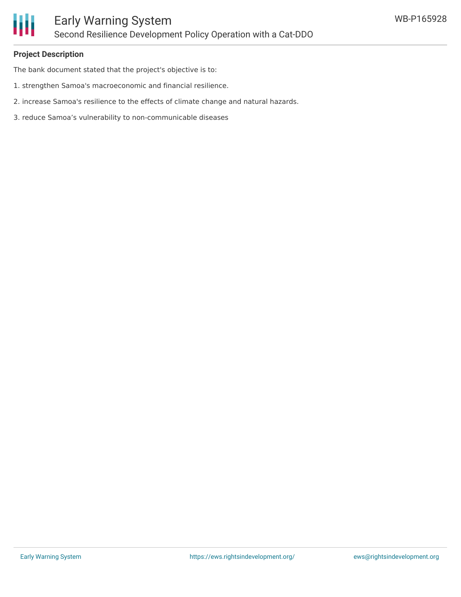

#### **Project Description**

The bank document stated that the project's objective is to:

- 1. strengthen Samoa's macroeconomic and financial resilience.
- 2. increase Samoa's resilience to the effects of climate change and natural hazards.
- 3. reduce Samoa's vulnerability to non-communicable diseases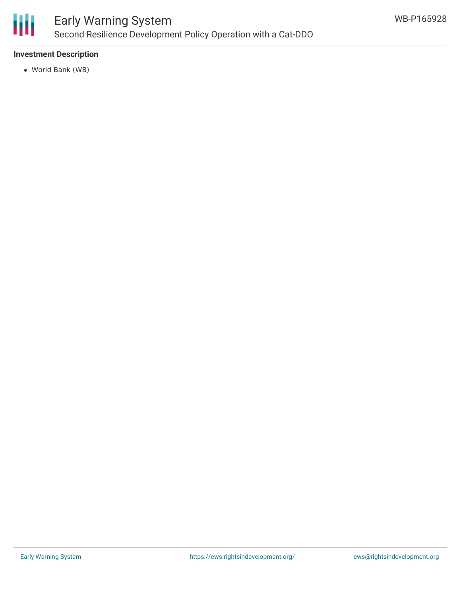

### **Investment Description**

World Bank (WB)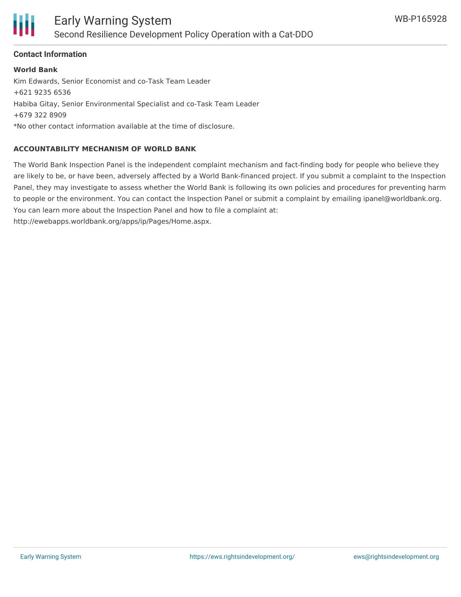

### **Contact Information**

**World Bank** Kim Edwards, Senior Economist and co-Task Team Leader +621 9235 6536 Habiba Gitay, Senior Environmental Specialist and co-Task Team Leader +679 322 8909 \*No other contact information available at the time of disclosure.

### **ACCOUNTABILITY MECHANISM OF WORLD BANK**

The World Bank Inspection Panel is the independent complaint mechanism and fact-finding body for people who believe they are likely to be, or have been, adversely affected by a World Bank-financed project. If you submit a complaint to the Inspection Panel, they may investigate to assess whether the World Bank is following its own policies and procedures for preventing harm to people or the environment. You can contact the Inspection Panel or submit a complaint by emailing ipanel@worldbank.org. You can learn more about the Inspection Panel and how to file a complaint at: http://ewebapps.worldbank.org/apps/ip/Pages/Home.aspx.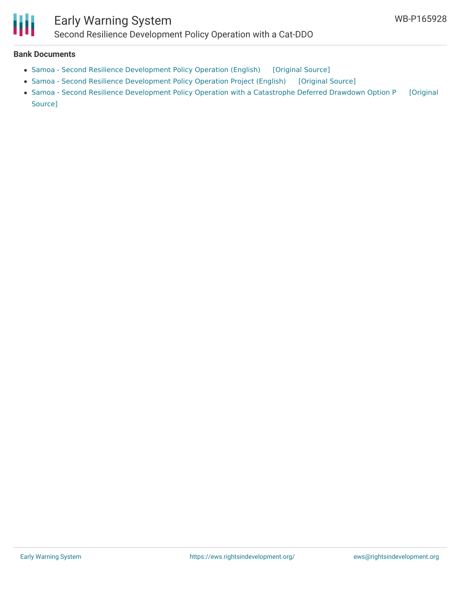

## Early Warning System Second Resilience Development Policy Operation with a Cat-DDO

#### **Bank Documents**

- Samoa Second Resilience [Development](https://ewsdata.rightsindevelopment.org/files/documents/28/WB-P165928.pdf) Policy Operation (English) [\[Original](http://documents.worldbank.org/curated/en/288361543806075496/pdf/Samoa-Second-Resilience-DPO-Program-Document-for-clearance-updated-11062018-636793848699267205.pdf) Source]
- Samoa Second Resilience [Development](https://ewsdata.rightsindevelopment.org/files/documents/28/WB-P165928_qRfepEt.pdf) Policy Operation Project (English) [\[Original](http://documents.worldbank.org/curated/en/561831533529876739/pdf/129216-PID-Concept-stage-PUBLIC-disclosed-8-3-18-SamoaSecondResilienceDPOwithaCatDDOProgramInformationDocument.pdf) Source]
- Samoa Second Resilience [Development](https://ewsdata.rightsindevelopment.org/files/documents/28/WB-P165928_Izh47A6.pdf) Policy Operation with a Catastrophe Deferred Drawdown Option P [Original Source]